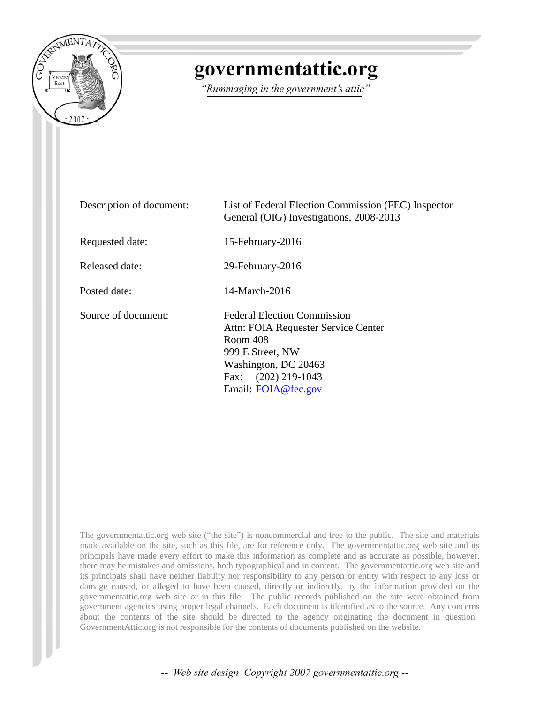

## governmentattic.org

"Rummaging in the government's attic"

| Description of document: | List of Federal Election Commission (FEC) Inspector<br>General (OIG) Investigations, 2008-2013                                                                                  |
|--------------------------|---------------------------------------------------------------------------------------------------------------------------------------------------------------------------------|
| Requested date:          | 15-February-2016                                                                                                                                                                |
| Released date:           | 29-February-2016                                                                                                                                                                |
| Posted date:             | 14-March-2016                                                                                                                                                                   |
| Source of document:      | <b>Federal Election Commission</b><br>Attn: FOIA Requester Service Center<br>Room 408<br>999 E Street, NW<br>Washington, DC 20463<br>Fax: (202) 219-1043<br>Email: FOIA@fec.gov |

The governmentattic.org web site ("the site") is noncommercial and free to the public. The site and materials made available on the site, such as this file, are for reference only. The governmentattic.org web site and its principals have made every effort to make this information as complete and as accurate as possible, however, there may be mistakes and omissions, both typographical and in content. The governmentattic.org web site and its principals shall have neither liability nor responsibility to any person or entity with respect to any loss or damage caused, or alleged to have been caused, directly or indirectly, by the information provided on the governmentattic.org web site or in this file. The public records published on the site were obtained from government agencies using proper legal channels. Each document is identified as to the source. Any concerns about the contents of the site should be directed to the agency originating the document in question. GovernmentAttic.org is not responsible for the contents of documents published on the website.

-- Web site design Copyright 2007 governmentattic.org --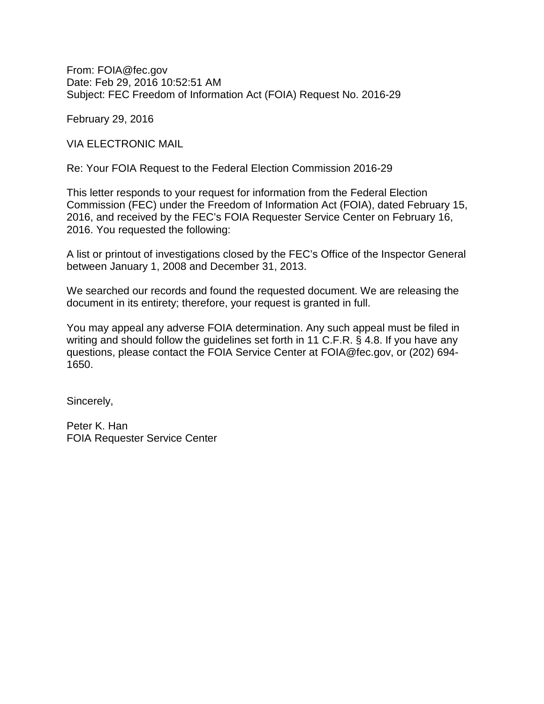From: FOIA@fec.gov Date: Feb 29, 2016 10:52:51 AM Subject: FEC Freedom of Information Act (FOIA) Request No. 2016-29

February 29, 2016

VIA ELECTRONIC MAIL

Re: Your FOIA Request to the Federal Election Commission 2016-29

This letter responds to your request for information from the Federal Election Commission (FEC) under the Freedom of Information Act (FOIA), dated February 15, 2016, and received by the FEC's FOIA Requester Service Center on February 16, 2016. You requested the following:

A list or printout of investigations closed by the FEC's Office of the Inspector General between January 1, 2008 and December 31, 2013.

We searched our records and found the requested document. We are releasing the document in its entirety; therefore, your request is granted in full.

You may appeal any adverse FOIA determination. Any such appeal must be filed in writing and should follow the guidelines set forth in 11 C.F.R. § 4.8. If you have any questions, please contact the FOIA Service Center at FOIA@fec.gov, or (202) 694- 1650.

Sincerely,

Peter K. Han FOIA Requester Service Center